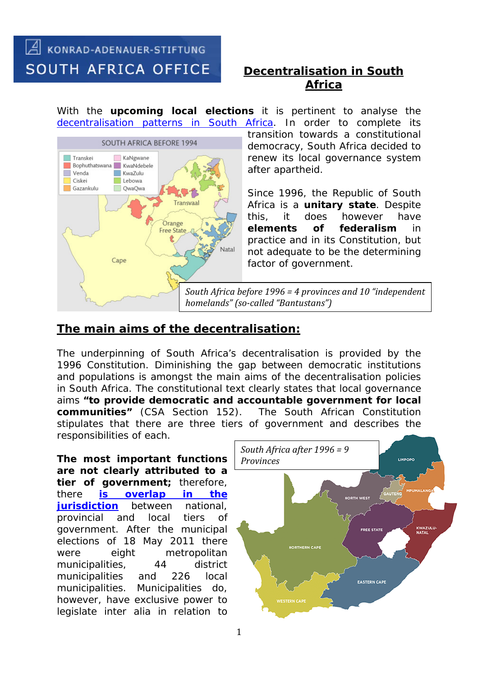# A KONRAD-ADENAUER-STIFTUNG **SOUTH AFRICA OFFICE**

## *Decentralisation in South Africa*

With the **upcoming local elections** it is pertinent to analyse the [decentralisation patterns in South Africa.](http://www.gov.za/about-government/government-system/local-government) In order to complete its



transition towards a constitutional democracy, South Africa decided to renew its local governance system after apartheid.

Since 1996, the Republic of South Africa is a **unitary state**. Despite this, it does however have **elements of federalism** in practice and in its Constitution, but not adequate to be the determining factor of government.

*South Africa before 1996 = 4 provinces and 10 "independent homelands" (so-called "Bantustans")*

### **The main aims of the decentralisation:**

The underpinning of South Africa's decentralisation is provided by the 1996 Constitution. Diminishing the gap between democratic institutions and populations is amongst the main aims of the decentralisation policies in South Africa. The constitutional text clearly states that local governance aims **"to provide democratic and accountable government for local communities"** (CSA Section 152). stipulates that there are three tiers of government and describes the responsibilities of each.

**The most important functions are not clearly attributed to a tier of government;** therefore, there **[is overlap in the](http://www.gov.za/documents/constitution/chapter-3-co-operative-government)  [jurisdiction](http://www.gov.za/documents/constitution/chapter-3-co-operative-government)** between national, provincial and local tiers of government. After the municipal elections of 18 May 2011 there were eight metropolitan municipalities, 44 district municipalities and 226 local municipalities. Municipalities do, however, have exclusive power to legislate inter alia in relation to

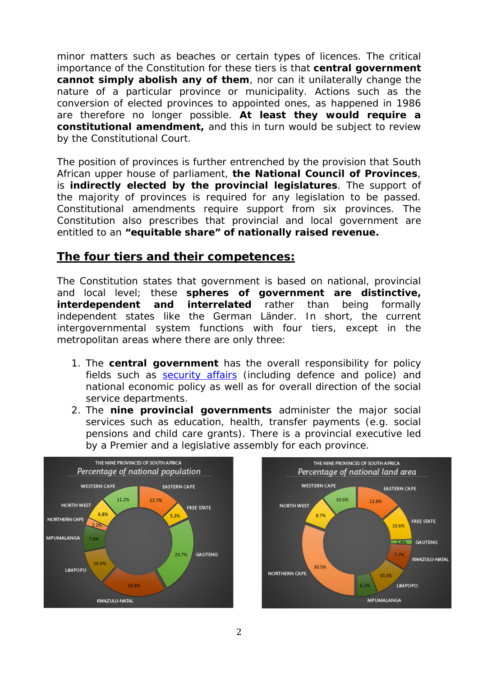minor matters such as beaches or certain types of licences. The critical importance of the Constitution for these tiers is that **central government cannot simply abolish any of them**, nor can it unilaterally change the nature of a particular province or municipality. Actions such as the conversion of elected provinces to appointed ones, as happened in 1986 are therefore no longer possible. **At least they would require a constitutional amendment,** and this in turn would be subject to review by the Constitutional Court.

The position of provinces is further entrenched by the provision that South African upper house of parliament, **the National Council of Provinces**, is **indirectly elected by the provincial legislatures**. The support of the majority of provinces is required for any legislation to be passed. Constitutional amendments require support from six provinces. The Constitution also prescribes that provincial and local government are entitled to an **"equitable share" of nationally raised revenue.** 

#### **The four tiers and their competences:**

The Constitution states that government is based on national, provincial and local level; these **spheres of government are distinctive, interdependent and interrelated** rather than being formally independent states like the German *Länder*. In short, the current intergovernmental system functions with four tiers, except in the metropolitan areas where there are only three:

- 1. The **central government** has the overall responsibility for policy fields such as [security](http://www.gov.za/documents/constitution-republic-south-africa-1996-chapter-11-security-services#198) affairs (including defence and police) and national economic policy as well as for overall direction of the social service departments.
- 2. The **nine provincial governments** administer the major social services such as education, health, transfer payments (e.g. social pensions and child care grants). There is a provincial executive led by a Premier and a legislative assembly for each province.